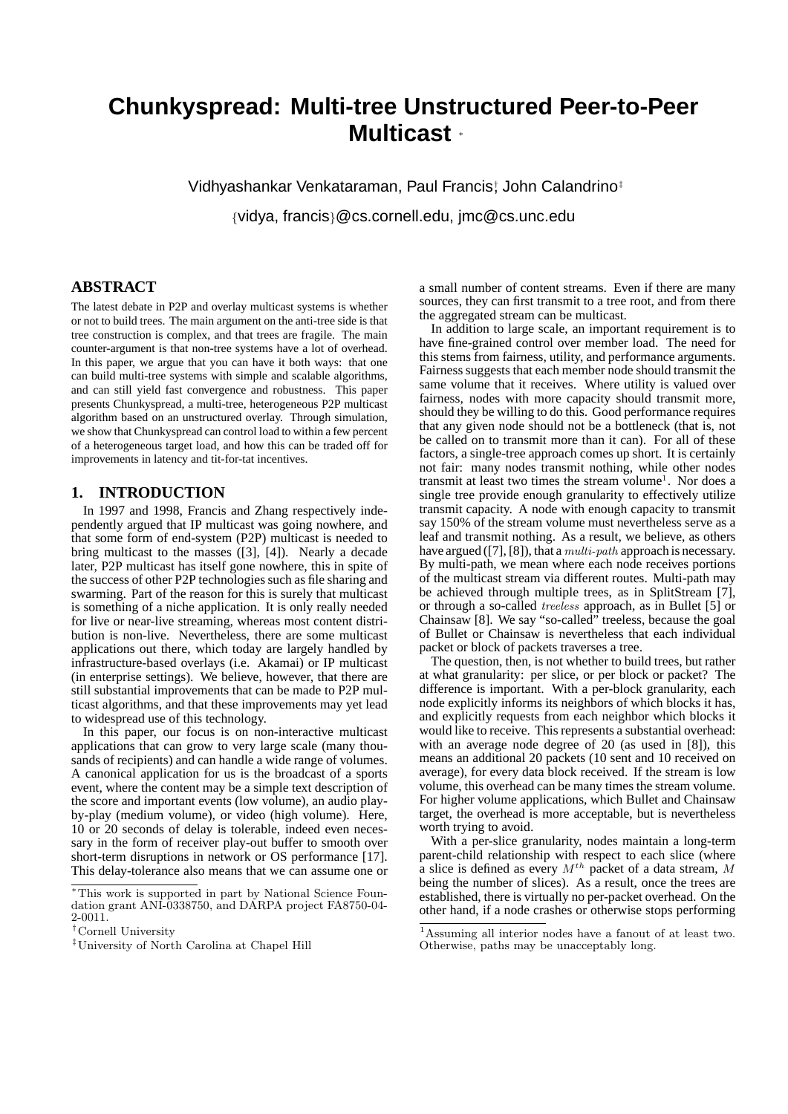# **Chunkyspread: Multi-tree Unstructured Peer-to-Peer Multicast** <sup>∗</sup>

Vidhyashankar Venkataraman, Paul Francis† , John Calandrino‡ {vidya, francis}@cs.cornell.edu, jmc@cs.unc.edu

# **ABSTRACT**

The latest debate in P2P and overlay multicast systems is whether or not to build trees. The main argument on the anti-tree side is that tree construction is complex, and that trees are fragile. The main counter-argument is that non-tree systems have a lot of overhead. In this paper, we argue that you can have it both ways: that one can build multi-tree systems with simple and scalable algorithms, and can still yield fast convergence and robustness. This paper presents Chunkyspread, a multi-tree, heterogeneous P2P multicast algorithm based on an unstructured overlay. Through simulation, we show that Chunkyspread can control load to within a few percent of a heterogeneous target load, and how this can be traded off for improvements in latency and tit-for-tat incentives.

### **1. INTRODUCTION**

In 1997 and 1998, Francis and Zhang respectively independently argued that IP multicast was going nowhere, and that some form of end-system (P2P) multicast is needed to bring multicast to the masses ([3], [4]). Nearly a decade later, P2P multicast has itself gone nowhere, this in spite of the success of other P2P technologies such as file sharing and swarming. Part of the reason for this is surely that multicast is something of a niche application. It is only really needed for live or near-live streaming, whereas most content distribution is non-live. Nevertheless, there are some multicast applications out there, which today are largely handled by infrastructure-based overlays (i.e. Akamai) or IP multicast (in enterprise settings). We believe, however, that there are still substantial improvements that can be made to P2P multicast algorithms, and that these improvements may yet lead to widespread use of this technology.

In this paper, our focus is on non-interactive multicast applications that can grow to very large scale (many thousands of recipients) and can handle a wide range of volumes. A canonical application for us is the broadcast of a sports event, where the content may be a simple text description of the score and important events (low volume), an audio playby-play (medium volume), or video (high volume). Here, 10 or 20 seconds of delay is tolerable, indeed even necessary in the form of receiver play-out buffer to smooth over short-term disruptions in network or OS performance [17]. This delay-tolerance also means that we can assume one or

a small number of content streams. Even if there are many sources, they can first transmit to a tree root, and from there the aggregated stream can be multicast.

In addition to large scale, an important requirement is to have fine-grained control over member load. The need for this stems from fairness, utility, and performance arguments. Fairness suggests that each member node should transmit the same volume that it receives. Where utility is valued over fairness, nodes with more capacity should transmit more, should they be willing to do this. Good performance requires that any given node should not be a bottleneck (that is, not be called on to transmit more than it can). For all of these factors, a single-tree approach comes up short. It is certainly not fair: many nodes transmit nothing, while other nodes transmit at least two times the stream volume<sup>1</sup>. Nor does a single tree provide enough granularity to effectively utilize transmit capacity. A node with enough capacity to transmit say 150% of the stream volume must nevertheless serve as a leaf and transmit nothing. As a result, we believe, as others have argued ([7], [8]), that a *multi-path* approach is necessary. By multi-path, we mean where each node receives portions of the multicast stream via different routes. Multi-path may be achieved through multiple trees, as in SplitStream [7], or through a so-called treeless approach, as in Bullet [5] or Chainsaw [8]. We say "so-called" treeless, because the goal of Bullet or Chainsaw is nevertheless that each individual packet or block of packets traverses a tree.

The question, then, is not whether to build trees, but rather at what granularity: per slice, or per block or packet? The difference is important. With a per-block granularity, each node explicitly informs its neighbors of which blocks it has, and explicitly requests from each neighbor which blocks it would like to receive. This represents a substantial overhead: with an average node degree of 20 (as used in [8]), this means an additional 20 packets (10 sent and 10 received on average), for every data block received. If the stream is low volume, this overhead can be many times the stream volume. For higher volume applications, which Bullet and Chainsaw target, the overhead is more acceptable, but is nevertheless worth trying to avoid.

With a per-slice granularity, nodes maintain a long-term parent-child relationship with respect to each slice (where a slice is defined as every  $M^{th}$  packet of a data stream, M being the number of slices). As a result, once the trees are established, there is virtually no per-packet overhead. On the other hand, if a node crashes or otherwise stops performing

<sup>∗</sup>This work is supported in part by National Science Foundation grant ANI-0338750, and DARPA project FA8750-04-  $2 - 0011.$ 

<sup>†</sup>Cornell University

<sup>‡</sup>University of North Carolina at Chapel Hill

<sup>1</sup>Assuming all interior nodes have a fanout of at least two. Otherwise, paths may be unacceptably long.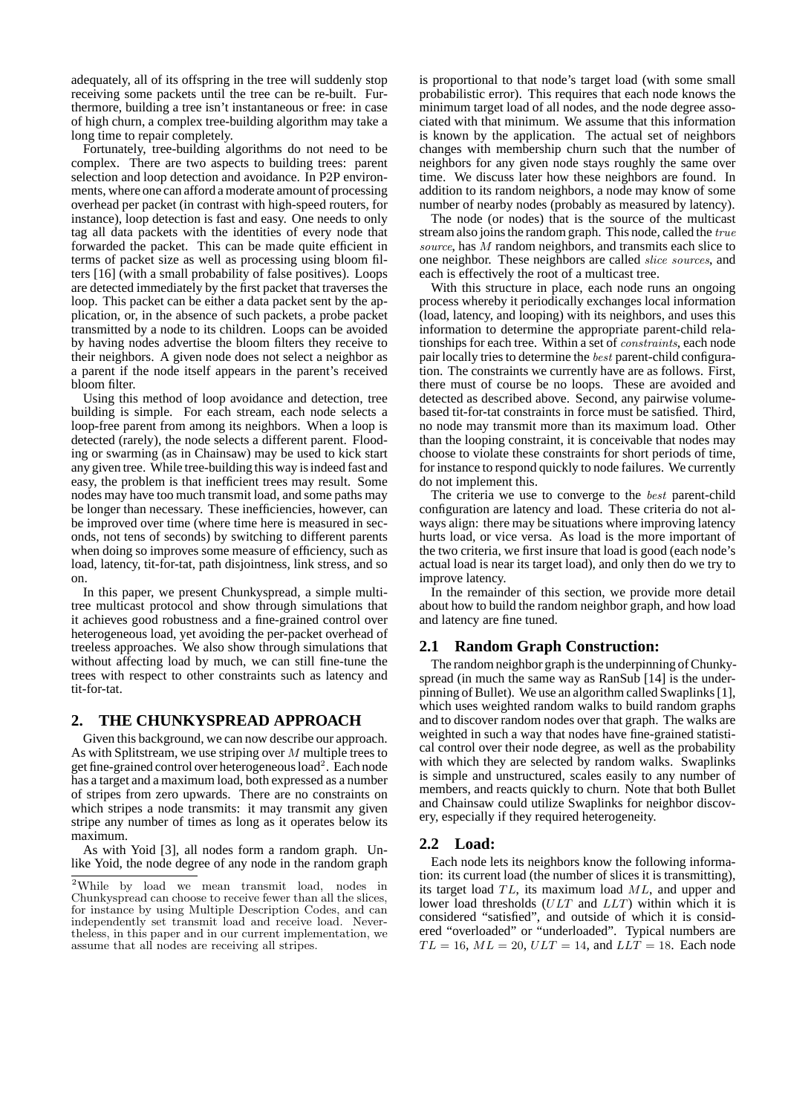adequately, all of its offspring in the tree will suddenly stop receiving some packets until the tree can be re-built. Furthermore, building a tree isn't instantaneous or free: in case of high churn, a complex tree-building algorithm may take a long time to repair completely.

Fortunately, tree-building algorithms do not need to be complex. There are two aspects to building trees: parent selection and loop detection and avoidance. In P2P environments, where one can afford a moderate amount of processing overhead per packet (in contrast with high-speed routers, for instance), loop detection is fast and easy. One needs to only tag all data packets with the identities of every node that forwarded the packet. This can be made quite efficient in terms of packet size as well as processing using bloom filters [16] (with a small probability of false positives). Loops are detected immediately by the first packet that traverses the loop. This packet can be either a data packet sent by the application, or, in the absence of such packets, a probe packet transmitted by a node to its children. Loops can be avoided by having nodes advertise the bloom filters they receive to their neighbors. A given node does not select a neighbor as a parent if the node itself appears in the parent's received bloom filter.

Using this method of loop avoidance and detection, tree building is simple. For each stream, each node selects a loop-free parent from among its neighbors. When a loop is detected (rarely), the node selects a different parent. Flooding or swarming (as in Chainsaw) may be used to kick start any given tree. While tree-building this way is indeed fast and easy, the problem is that inefficient trees may result. Some nodes may have too much transmit load, and some paths may be longer than necessary. These inefficiencies, however, can be improved over time (where time here is measured in seconds, not tens of seconds) by switching to different parents when doing so improves some measure of efficiency, such as load, latency, tit-for-tat, path disjointness, link stress, and so on.

In this paper, we present Chunkyspread, a simple multitree multicast protocol and show through simulations that it achieves good robustness and a fine-grained control over heterogeneous load, yet avoiding the per-packet overhead of treeless approaches. We also show through simulations that without affecting load by much, we can still fine-tune the trees with respect to other constraints such as latency and tit-for-tat.

# **2. THE CHUNKYSPREAD APPROACH**

Given this background, we can now describe our approach. As with Splitstream, we use striping over M multiple trees to get fine-grained control over heterogeneous load<sup>2</sup> . Each node has a target and a maximum load, both expressed as a number of stripes from zero upwards. There are no constraints on which stripes a node transmits: it may transmit any given stripe any number of times as long as it operates below its maximum.

As with Yoid [3], all nodes form a random graph. Unlike Yoid, the node degree of any node in the random graph is proportional to that node's target load (with some small probabilistic error). This requires that each node knows the minimum target load of all nodes, and the node degree associated with that minimum. We assume that this information is known by the application. The actual set of neighbors changes with membership churn such that the number of neighbors for any given node stays roughly the same over time. We discuss later how these neighbors are found. In addition to its random neighbors, a node may know of some number of nearby nodes (probably as measured by latency).

The node (or nodes) that is the source of the multicast stream also joins the random graph. This node, called the true source, has M random neighbors, and transmits each slice to one neighbor. These neighbors are called slice sources, and each is effectively the root of a multicast tree.

With this structure in place, each node runs an ongoing process whereby it periodically exchanges local information (load, latency, and looping) with its neighbors, and uses this information to determine the appropriate parent-child relationships for each tree. Within a set of constraints, each node pair locally tries to determine the best parent-child configuration. The constraints we currently have are as follows. First, there must of course be no loops. These are avoided and detected as described above. Second, any pairwise volumebased tit-for-tat constraints in force must be satisfied. Third, no node may transmit more than its maximum load. Other than the looping constraint, it is conceivable that nodes may choose to violate these constraints for short periods of time, for instance to respond quickly to node failures. We currently do not implement this.

The criteria we use to converge to the best parent-child configuration are latency and load. These criteria do not always align: there may be situations where improving latency hurts load, or vice versa. As load is the more important of the two criteria, we first insure that load is good (each node's actual load is near its target load), and only then do we try to improve latency.

In the remainder of this section, we provide more detail about how to build the random neighbor graph, and how load and latency are fine tuned.

## **2.1 Random Graph Construction:**

The random neighbor graph is the underpinning of Chunkyspread (in much the same way as RanSub [14] is the underpinning of Bullet). We use an algorithm called Swaplinks [1], which uses weighted random walks to build random graphs and to discover random nodes over that graph. The walks are weighted in such a way that nodes have fine-grained statistical control over their node degree, as well as the probability with which they are selected by random walks. Swaplinks is simple and unstructured, scales easily to any number of members, and reacts quickly to churn. Note that both Bullet and Chainsaw could utilize Swaplinks for neighbor discovery, especially if they required heterogeneity.

## **2.2 Load:**

Each node lets its neighbors know the following information: its current load (the number of slices it is transmitting), its target load  $TL$ , its maximum load  $ML$ , and upper and lower load thresholds (ULT and LLT) within which it is considered "satisfied", and outside of which it is considered "overloaded" or "underloaded". Typical numbers are  $TL = 16$ ,  $ML = 20$ ,  $ULT = 14$ , and  $LLT = 18$ . Each node

<sup>2</sup>While by load we mean transmit load, nodes in Chunkyspread can choose to receive fewer than all the slices, for instance by using Multiple Description Codes, and can independently set transmit load and receive load. Nevertheless, in this paper and in our current implementation, we assume that all nodes are receiving all stripes.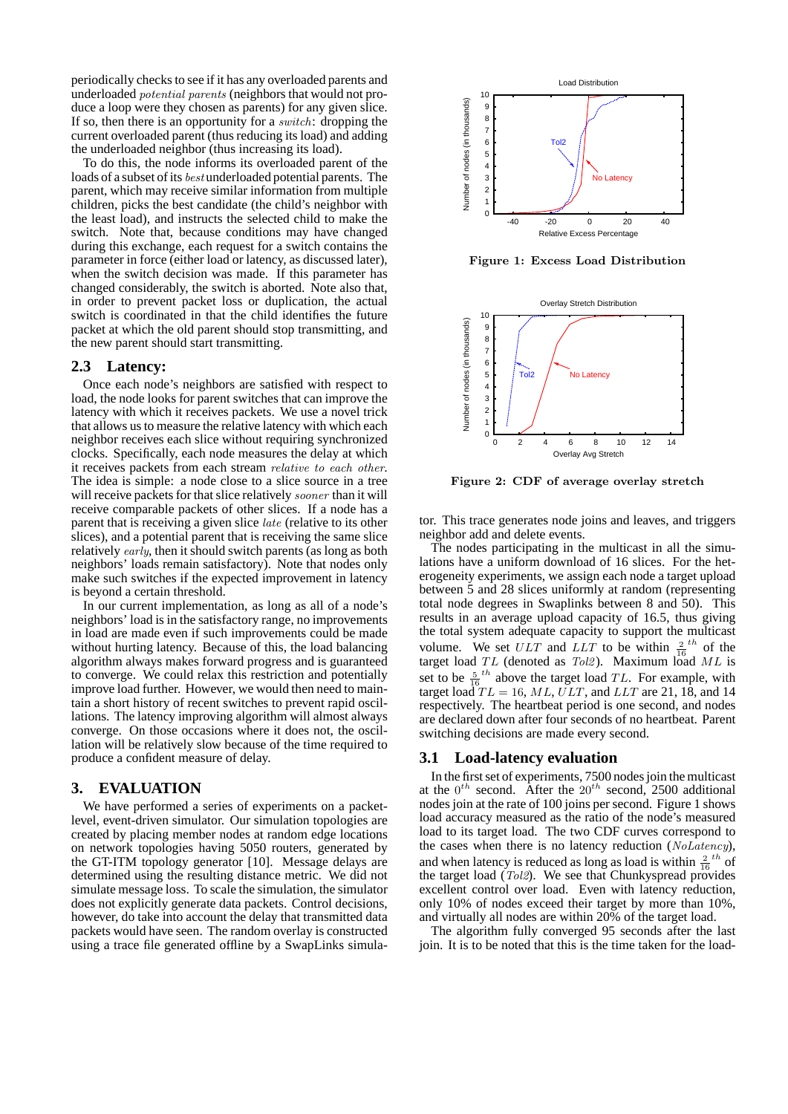periodically checks to see if it has any overloaded parents and underloaded potential parents (neighbors that would not produce a loop were they chosen as parents) for any given slice. If so, then there is an opportunity for a switch: dropping the current overloaded parent (thus reducing its load) and adding the underloaded neighbor (thus increasing its load).

To do this, the node informs its overloaded parent of the loads of a subset of its best underloaded potential parents. The parent, which may receive similar information from multiple children, picks the best candidate (the child's neighbor with the least load), and instructs the selected child to make the switch. Note that, because conditions may have changed during this exchange, each request for a switch contains the parameter in force (either load or latency, as discussed later), when the switch decision was made. If this parameter has changed considerably, the switch is aborted. Note also that, in order to prevent packet loss or duplication, the actual switch is coordinated in that the child identifies the future packet at which the old parent should stop transmitting, and the new parent should start transmitting.

#### **2.3 Latency:**

Once each node's neighbors are satisfied with respect to load, the node looks for parent switches that can improve the latency with which it receives packets. We use a novel trick that allows us to measure the relative latency with which each neighbor receives each slice without requiring synchronized clocks. Specifically, each node measures the delay at which it receives packets from each stream relative to each other. The idea is simple: a node close to a slice source in a tree will receive packets for that slice relatively *sooner* than it will receive comparable packets of other slices. If a node has a parent that is receiving a given slice late (relative to its other slices), and a potential parent that is receiving the same slice relatively early, then it should switch parents (as long as both neighbors' loads remain satisfactory). Note that nodes only make such switches if the expected improvement in latency is beyond a certain threshold.

In our current implementation, as long as all of a node's neighbors' load is in the satisfactory range, no improvements in load are made even if such improvements could be made without hurting latency. Because of this, the load balancing algorithm always makes forward progress and is guaranteed to converge. We could relax this restriction and potentially improve load further. However, we would then need to maintain a short history of recent switches to prevent rapid oscillations. The latency improving algorithm will almost always converge. On those occasions where it does not, the oscillation will be relatively slow because of the time required to produce a confident measure of delay.

## **3. EVALUATION**

We have performed a series of experiments on a packetlevel, event-driven simulator. Our simulation topologies are created by placing member nodes at random edge locations on network topologies having 5050 routers, generated by the GT-ITM topology generator [10]. Message delays are determined using the resulting distance metric. We did not simulate message loss. To scale the simulation, the simulator does not explicitly generate data packets. Control decisions, however, do take into account the delay that transmitted data packets would have seen. The random overlay is constructed using a trace file generated offline by a SwapLinks simula-



Figure 1: Excess Load Distribution



Figure 2: CDF of average overlay stretch

tor. This trace generates node joins and leaves, and triggers neighbor add and delete events.

The nodes participating in the multicast in all the simulations have a uniform download of 16 slices. For the heterogeneity experiments, we assign each node a target upload between 5 and 28 slices uniformly at random (representing total node degrees in Swaplinks between 8 and 50). This results in an average upload capacity of 16.5, thus giving the total system adequate capacity to support the multicast volume. We set  $ULT$  and  $LLT$  to be within  $\frac{2}{16}$  the target load  $TL$  (denoted as  $Tol2$ ). Maximum load  $ML$  is set to be  $\frac{5}{16}$ <sup>th</sup> above the target load *TL*. For example, with target load  $TL = 16$ , ML, ULT, and LLT are 21, 18, and 14 respectively. The heartbeat period is one second, and nodes are declared down after four seconds of no heartbeat. Parent switching decisions are made every second.

#### **3.1 Load-latency evaluation**

In the first set of experiments, 7500 nodes join the multicast at the  $0^{th}$  second. After the  $20^{th}$  second, 2500 additional nodes join at the rate of 100 joins per second. Figure 1 shows load accuracy measured as the ratio of the node's measured load to its target load. The two CDF curves correspond to the cases when there is no latency reduction (NoLatency), and when latency is reduced as long as load is within  $\frac{2}{16}$  th of the target load  $(Tol2)$ . We see that Chunkyspread provides excellent control over load. Even with latency reduction, only 10% of nodes exceed their target by more than 10%, and virtually all nodes are within 20% of the target load.

The algorithm fully converged 95 seconds after the last join. It is to be noted that this is the time taken for the load-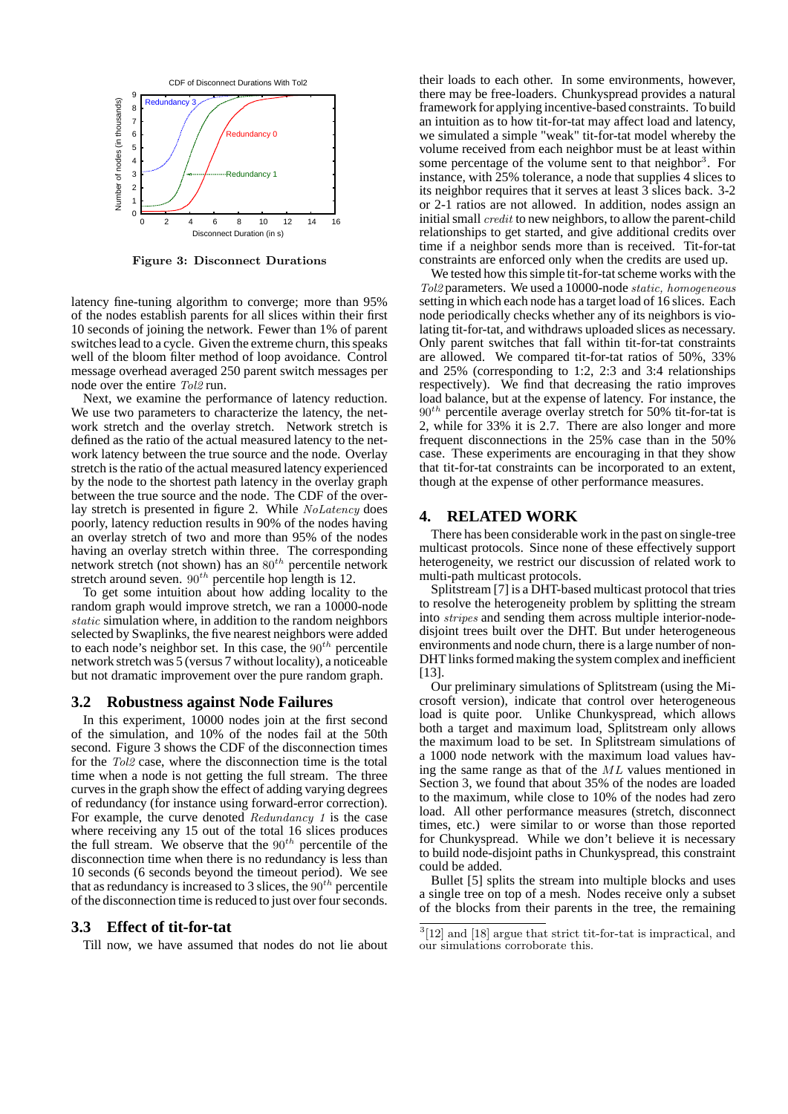

Figure 3: Disconnect Durations

latency fine-tuning algorithm to converge; more than 95% of the nodes establish parents for all slices within their first 10 seconds of joining the network. Fewer than 1% of parent switches lead to a cycle. Given the extreme churn, this speaks well of the bloom filter method of loop avoidance. Control message overhead averaged 250 parent switch messages per node over the entire Tol2 run.

Next, we examine the performance of latency reduction. We use two parameters to characterize the latency, the network stretch and the overlay stretch. Network stretch is defined as the ratio of the actual measured latency to the network latency between the true source and the node. Overlay stretch is the ratio of the actual measured latency experienced by the node to the shortest path latency in the overlay graph between the true source and the node. The CDF of the overlay stretch is presented in figure 2. While NoLatency does poorly, latency reduction results in 90% of the nodes having an overlay stretch of two and more than 95% of the nodes having an overlay stretch within three. The corresponding network stretch (not shown) has an  $80^{th}$  percentile network stretch around seven.  $90^{th}$  percentile hop length is 12.

To get some intuition about how adding locality to the random graph would improve stretch, we ran a 10000-node static simulation where, in addition to the random neighbors selected by Swaplinks, the five nearest neighbors were added to each node's neighbor set. In this case, the  $90<sup>th</sup>$  percentile network stretch was 5 (versus 7 without locality), a noticeable but not dramatic improvement over the pure random graph.

#### **3.2 Robustness against Node Failures**

In this experiment, 10000 nodes join at the first second of the simulation, and 10% of the nodes fail at the 50th second. Figure 3 shows the CDF of the disconnection times for the Tol2 case, where the disconnection time is the total time when a node is not getting the full stream. The three curves in the graph show the effect of adding varying degrees of redundancy (for instance using forward-error correction). For example, the curve denoted Redundancy 1 is the case where receiving any 15 out of the total 16 slices produces the full stream. We observe that the  $90<sup>th</sup>$  percentile of the disconnection time when there is no redundancy is less than 10 seconds (6 seconds beyond the timeout period). We see that as redundancy is increased to 3 slices, the  $90<sup>th</sup>$  percentile of the disconnection time is reduced to just over four seconds.

#### **3.3 Effect of tit-for-tat**

Till now, we have assumed that nodes do not lie about

their loads to each other. In some environments, however, there may be free-loaders. Chunkyspread provides a natural framework for applying incentive-based constraints. To build an intuition as to how tit-for-tat may affect load and latency, we simulated a simple "weak" tit-for-tat model whereby the volume received from each neighbor must be at least within some percentage of the volume sent to that neighbor<sup>3</sup>. For instance, with 25% tolerance, a node that supplies 4 slices to its neighbor requires that it serves at least 3 slices back. 3-2 or 2-1 ratios are not allowed. In addition, nodes assign an initial small credit to new neighbors, to allow the parent-child relationships to get started, and give additional credits over time if a neighbor sends more than is received. Tit-for-tat constraints are enforced only when the credits are used up.

We tested how this simple tit-for-tat scheme works with the Tol2 parameters. We used a 10000-node static, homogeneous setting in which each node has a target load of 16 slices. Each node periodically checks whether any of its neighbors is violating tit-for-tat, and withdraws uploaded slices as necessary. Only parent switches that fall within tit-for-tat constraints are allowed. We compared tit-for-tat ratios of 50%, 33% and 25% (corresponding to 1:2, 2:3 and 3:4 relationships respectively). We find that decreasing the ratio improves load balance, but at the expense of latency. For instance, the  $90<sup>th</sup>$  percentile average overlay stretch for 50% tit-for-tat is 2, while for 33% it is 2.7. There are also longer and more frequent disconnections in the 25% case than in the 50% case. These experiments are encouraging in that they show that tit-for-tat constraints can be incorporated to an extent, though at the expense of other performance measures.

#### **4. RELATED WORK**

There has been considerable work in the past on single-tree multicast protocols. Since none of these effectively support heterogeneity, we restrict our discussion of related work to multi-path multicast protocols.

Splitstream [7] is a DHT-based multicast protocol that tries to resolve the heterogeneity problem by splitting the stream into stripes and sending them across multiple interior-nodedisjoint trees built over the DHT. But under heterogeneous environments and node churn, there is a large number of non-DHT links formed making the system complex and inefficient  $[13]$ .

Our preliminary simulations of Splitstream (using the Microsoft version), indicate that control over heterogeneous load is quite poor. Unlike Chunkyspread, which allows both a target and maximum load, Splitstream only allows the maximum load to be set. In Splitstream simulations of a 1000 node network with the maximum load values having the same range as that of the ML values mentioned in Section 3, we found that about 35% of the nodes are loaded to the maximum, while close to 10% of the nodes had zero load. All other performance measures (stretch, disconnect times, etc.) were similar to or worse than those reported for Chunkyspread. While we don't believe it is necessary to build node-disjoint paths in Chunkyspread, this constraint could be added.

Bullet [5] splits the stream into multiple blocks and uses a single tree on top of a mesh. Nodes receive only a subset of the blocks from their parents in the tree, the remaining

<sup>3</sup> [12] and [18] argue that strict tit-for-tat is impractical, and our simulations corroborate this.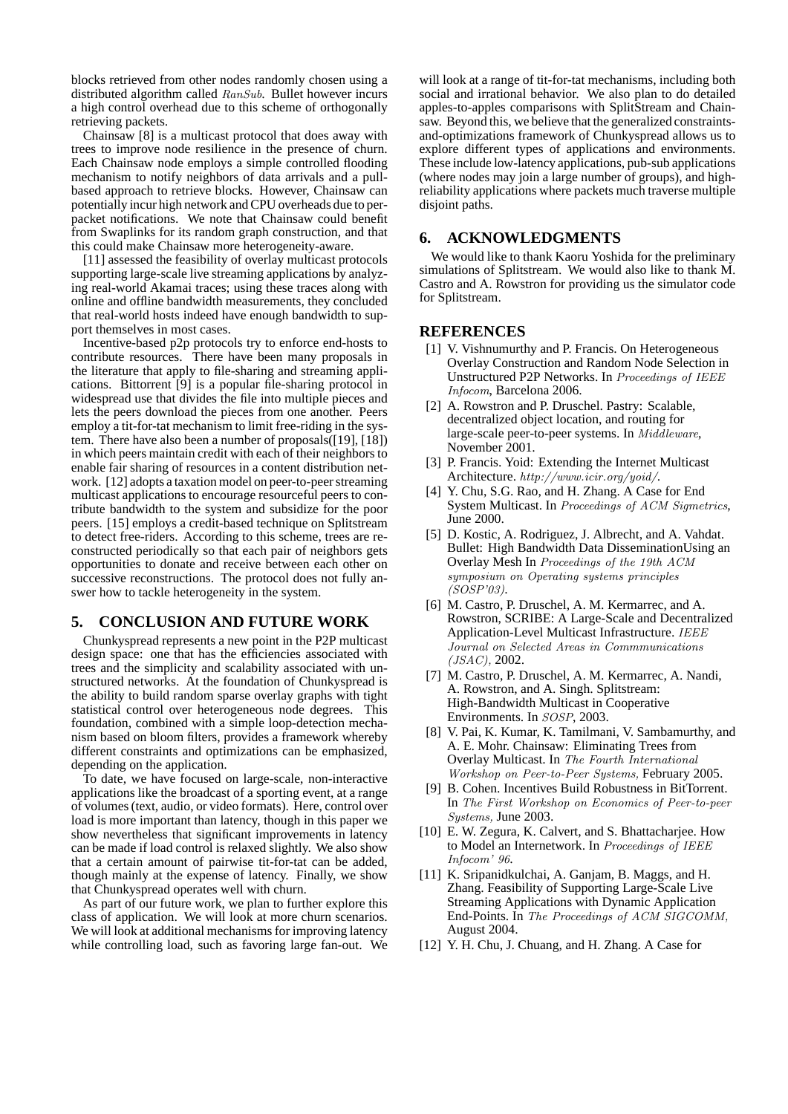blocks retrieved from other nodes randomly chosen using a distributed algorithm called RanSub. Bullet however incurs a high control overhead due to this scheme of orthogonally retrieving packets.

Chainsaw [8] is a multicast protocol that does away with trees to improve node resilience in the presence of churn. Each Chainsaw node employs a simple controlled flooding mechanism to notify neighbors of data arrivals and a pullbased approach to retrieve blocks. However, Chainsaw can potentially incur high network and CPU overheads due to perpacket notifications. We note that Chainsaw could benefit from Swaplinks for its random graph construction, and that this could make Chainsaw more heterogeneity-aware.

[11] assessed the feasibility of overlay multicast protocols supporting large-scale live streaming applications by analyzing real-world Akamai traces; using these traces along with online and offline bandwidth measurements, they concluded that real-world hosts indeed have enough bandwidth to support themselves in most cases.

Incentive-based p2p protocols try to enforce end-hosts to contribute resources. There have been many proposals in the literature that apply to file-sharing and streaming applications. Bittorrent [9] is a popular file-sharing protocol in widespread use that divides the file into multiple pieces and lets the peers download the pieces from one another. Peers employ a tit-for-tat mechanism to limit free-riding in the system. There have also been a number of proposals([19], [18]) in which peers maintain credit with each of their neighbors to enable fair sharing of resources in a content distribution network. [12] adopts a taxation model on peer-to-peer streaming multicast applications to encourage resourceful peers to contribute bandwidth to the system and subsidize for the poor peers. [15] employs a credit-based technique on Splitstream to detect free-riders. According to this scheme, trees are reconstructed periodically so that each pair of neighbors gets opportunities to donate and receive between each other on successive reconstructions. The protocol does not fully answer how to tackle heterogeneity in the system.

# **5. CONCLUSION AND FUTURE WORK**

Chunkyspread represents a new point in the P2P multicast design space: one that has the efficiencies associated with trees and the simplicity and scalability associated with unstructured networks. At the foundation of Chunkyspread is the ability to build random sparse overlay graphs with tight statistical control over heterogeneous node degrees. This foundation, combined with a simple loop-detection mechanism based on bloom filters, provides a framework whereby different constraints and optimizations can be emphasized, depending on the application.

To date, we have focused on large-scale, non-interactive applications like the broadcast of a sporting event, at a range of volumes (text, audio, or video formats). Here, control over load is more important than latency, though in this paper we show nevertheless that significant improvements in latency can be made if load control is relaxed slightly. We also show that a certain amount of pairwise tit-for-tat can be added, though mainly at the expense of latency. Finally, we show that Chunkyspread operates well with churn.

As part of our future work, we plan to further explore this class of application. We will look at more churn scenarios. We will look at additional mechanisms for improving latency while controlling load, such as favoring large fan-out. We

will look at a range of tit-for-tat mechanisms, including both social and irrational behavior. We also plan to do detailed apples-to-apples comparisons with SplitStream and Chainsaw. Beyond this, we believe that the generalized constraintsand-optimizations framework of Chunkyspread allows us to explore different types of applications and environments. These include low-latency applications, pub-sub applications (where nodes may join a large number of groups), and highreliability applications where packets much traverse multiple disjoint paths.

## **6. ACKNOWLEDGMENTS**

We would like to thank Kaoru Yoshida for the preliminary simulations of Splitstream. We would also like to thank M. Castro and A. Rowstron for providing us the simulator code for Splitstream.

#### **REFERENCES**

- [1] V. Vishnumurthy and P. Francis. On Heterogeneous Overlay Construction and Random Node Selection in Unstructured P2P Networks. In Proceedings of IEEE Infocom, Barcelona 2006.
- [2] A. Rowstron and P. Druschel. Pastry: Scalable, decentralized object location, and routing for large-scale peer-to-peer systems. In Middleware, November 2001.
- [3] P. Francis. Yoid: Extending the Internet Multicast Architecture. http://www.icir.org/yoid/.
- [4] Y. Chu, S.G. Rao, and H. Zhang. A Case for End System Multicast. In Proceedings of ACM Sigmetrics, June 2000.
- [5] D. Kostic, A. Rodriguez, J. Albrecht, and A. Vahdat. Bullet: High Bandwidth Data DisseminationUsing an Overlay Mesh In Proceedings of the 19th ACM symposium on Operating systems principles (SOSP'03).
- [6] M. Castro, P. Druschel, A. M. Kermarrec, and A. Rowstron, SCRIBE: A Large-Scale and Decentralized Application-Level Multicast Infrastructure. IEEE Journal on Selected Areas in Commmunications  $(JSAC)$ , 2002.
- [7] M. Castro, P. Druschel, A. M. Kermarrec, A. Nandi, A. Rowstron, and A. Singh. Splitstream: High-Bandwidth Multicast in Cooperative Environments. In SOSP, 2003.
- [8] V. Pai, K. Kumar, K. Tamilmani, V. Sambamurthy, and A. E. Mohr. Chainsaw: Eliminating Trees from Overlay Multicast. In The Fourth International Workshop on Peer-to-Peer Systems, February 2005.
- [9] B. Cohen. Incentives Build Robustness in BitTorrent. In The First Workshop on Economics of Peer-to-peer Systems, June 2003.
- [10] E. W. Zegura, K. Calvert, and S. Bhattacharjee. How to Model an Internetwork. In Proceedings of IEEE Infocom' 96.
- [11] K. Sripanidkulchai, A. Ganjam, B. Maggs, and H. Zhang. Feasibility of Supporting Large-Scale Live Streaming Applications with Dynamic Application End-Points. In The Proceedings of ACM SIGCOMM, August 2004.
- [12] Y. H. Chu, J. Chuang, and H. Zhang. A Case for